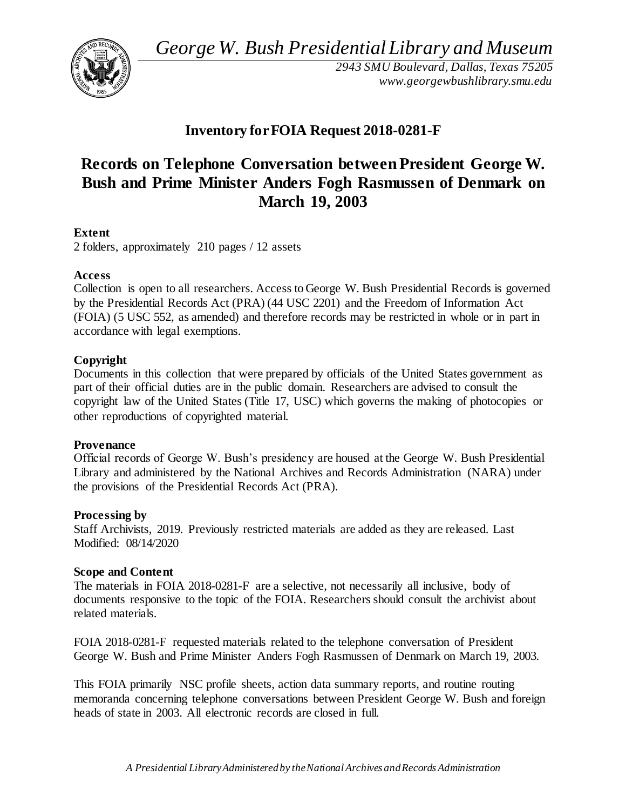*George W. Bush Presidential Library and Museum* 



*2943 SMU Boulevard, Dallas, Texas 75205 <www.georgewbushlibrary.smu.edu>*

## **Inventory forFOIA Request 2018-0281-F**

# **Records on Telephone Conversation between President George W. Bush and Prime Minister Anders Fogh Rasmussen of Denmark on March 19, 2003**

### **Extent**

2 folders, approximately 210 pages / 12 assets

#### **Access**

 Collection is open to all researchers. Access to George W. Bush Presidential Records is governed by the Presidential Records Act (PRA) (44 USC 2201) and the Freedom of Information Act (FOIA) (5 USC 552, as amended) and therefore records may be restricted in whole or in part in accordance with legal exemptions.

### **Copyright**

 Documents in this collection that were prepared by officials of the United States government as part of their official duties are in the public domain. Researchers are advised to consult the copyright law of the United States (Title 17, USC) which governs the making of photocopies or other reproductions of copyrighted material.

#### **Provenance**

 Official records of George W. Bush's presidency are housed at the George W. Bush Presidential Library and administered by the National Archives and Records Administration (NARA) under the provisions of the Presidential Records Act (PRA).

#### **Processing by**

 Staff Archivists, 2019. Previously restricted materials are added as they are released. Last Modified: 08/14/2020

#### **Scope and Content**

 The materials in FOIA 2018-0281-F are a selective, not necessarily all inclusive, body of documents responsive to the topic of the FOIA. Researchers should consult the archivist about related materials.

 FOIA 2018-0281-F requested materials related to the telephone conversation of President George W. Bush and Prime Minister Anders Fogh Rasmussen of Denmark on March 19, 2003.

 This FOIA primarily NSC profile sheets, action data summary reports, and routine routing memoranda concerning telephone conversations between President George W. Bush and foreign heads of state in 2003. All electronic records are closed in full.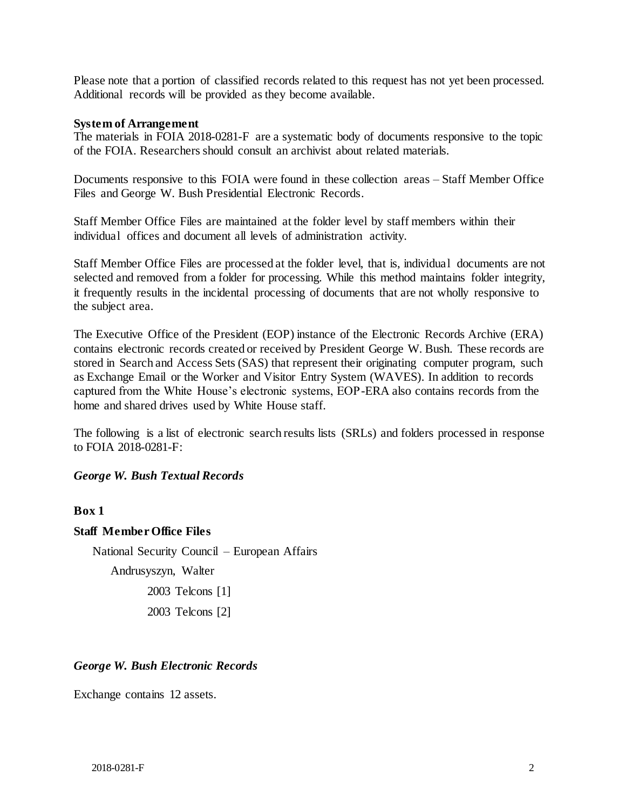Please note that a portion of classified records related to this request has not yet been processed. Additional records will be provided as they become available.

#### **System of Arrangement**

 The materials in FOIA 2018-0281-F are a systematic body of documents responsive to the topic of the FOIA. Researchers should consult an archivist about related materials.

 Documents responsive to this FOIA were found in these collection areas – Staff Member Office Files and George W. Bush Presidential Electronic Records.

 Staff Member Office Files are maintained at the folder level by staff members within their individual offices and document all levels of administration activity.

 Staff Member Office Files are processed at the folder level, that is, individual documents are not selected and removed from a folder for processing. While this method maintains folder integrity, it frequently results in the incidental processing of documents that are not wholly responsive to the subject area.

 The Executive Office of the President (EOP) instance of the Electronic Records Archive (ERA) contains electronic records created or received by President George W. Bush. These records are stored in Search and Access Sets (SAS) that represent their originating computer program, such as Exchange Email or the Worker and Visitor Entry System (WAVES). In addition to records captured from the White House's electronic systems, EOP-ERA also contains records from the home and shared drives used by White House staff.

 The following is a list of electronic search results lists (SRLs) and folders processed in response to FOIA 2018-0281-F:

#### *George W. Bush Textual Records*

**Box 1** 

#### **Staff Member Office Files**

 National Security Council – European Affairs 2003 Telcons [1] Andrusyszyn, Walter 2003 Telcons [2]

#### *George W. Bush Electronic Records*

Exchange contains 12 assets.